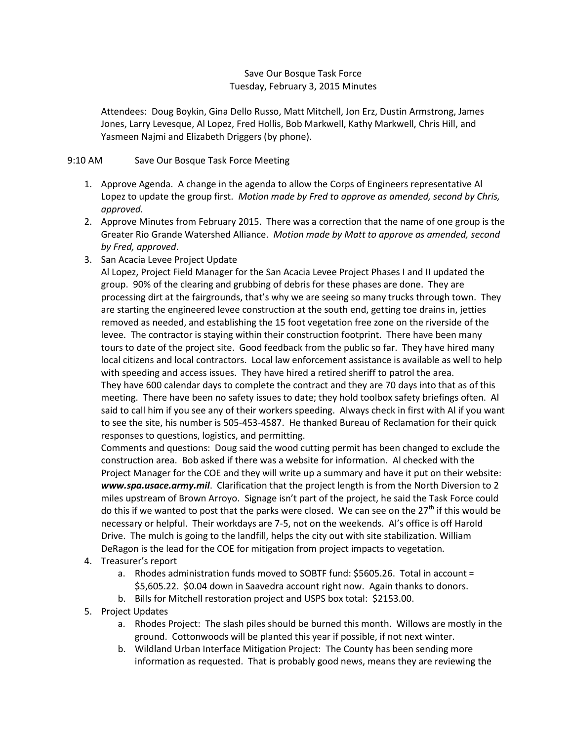## Save Our Bosque Task Force Tuesday, February 3, 2015 Minutes

Attendees: Doug Boykin, Gina Dello Russo, Matt Mitchell, Jon Erz, Dustin Armstrong, James Jones, Larry Levesque, Al Lopez, Fred Hollis, Bob Markwell, Kathy Markwell, Chris Hill, and Yasmeen Najmi and Elizabeth Driggers (by phone).

## 9:10 AM Save Our Bosque Task Force Meeting

- 1. Approve Agenda. A change in the agenda to allow the Corps of Engineers representative Al Lopez to update the group first. *Motion made by Fred to approve as amended, second by Chris, approved.*
- 2. Approve Minutes from February 2015. There was a correction that the name of one group is the Greater Rio Grande Watershed Alliance. *Motion made by Matt to approve as amended, second by Fred, approved*.
- 3. San Acacia Levee Project Update

Al Lopez, Project Field Manager for the San Acacia Levee Project Phases I and II updated the group. 90% of the clearing and grubbing of debris for these phases are done. They are processing dirt at the fairgrounds, that's why we are seeing so many trucks through town. They are starting the engineered levee construction at the south end, getting toe drains in, jetties removed as needed, and establishing the 15 foot vegetation free zone on the riverside of the levee. The contractor is staying within their construction footprint. There have been many tours to date of the project site. Good feedback from the public so far. They have hired many local citizens and local contractors. Local law enforcement assistance is available as well to help with speeding and access issues. They have hired a retired sheriff to patrol the area. They have 600 calendar days to complete the contract and they are 70 days into that as of this meeting. There have been no safety issues to date; they hold toolbox safety briefings often. Al said to call him if you see any of their workers speeding. Always check in first with Al if you want to see the site, his number is 505-453-4587. He thanked Bureau of Reclamation for their quick responses to questions, logistics, and permitting.

Comments and questions: Doug said the wood cutting permit has been changed to exclude the construction area. Bob asked if there was a website for information. Al checked with the Project Manager for the COE and they will write up a summary and have it put on their website: *www.spa.usace.army.mil*. Clarification that the project length is from the North Diversion to 2 miles upstream of Brown Arroyo. Signage isn't part of the project, he said the Task Force could do this if we wanted to post that the parks were closed. We can see on the  $27<sup>th</sup>$  if this would be necessary or helpful. Their workdays are 7-5, not on the weekends. Al's office is off Harold Drive. The mulch is going to the landfill, helps the city out with site stabilization. William DeRagon is the lead for the COE for mitigation from project impacts to vegetation.

- 4. Treasurer's report
	- a. Rhodes administration funds moved to SOBTF fund: \$5605.26. Total in account = \$5,605.22. \$0.04 down in Saavedra account right now. Again thanks to donors.
	- b. Bills for Mitchell restoration project and USPS box total: \$2153.00.
- 5. Project Updates
	- a. Rhodes Project: The slash piles should be burned this month. Willows are mostly in the ground. Cottonwoods will be planted this year if possible, if not next winter.
	- b. Wildland Urban Interface Mitigation Project: The County has been sending more information as requested. That is probably good news, means they are reviewing the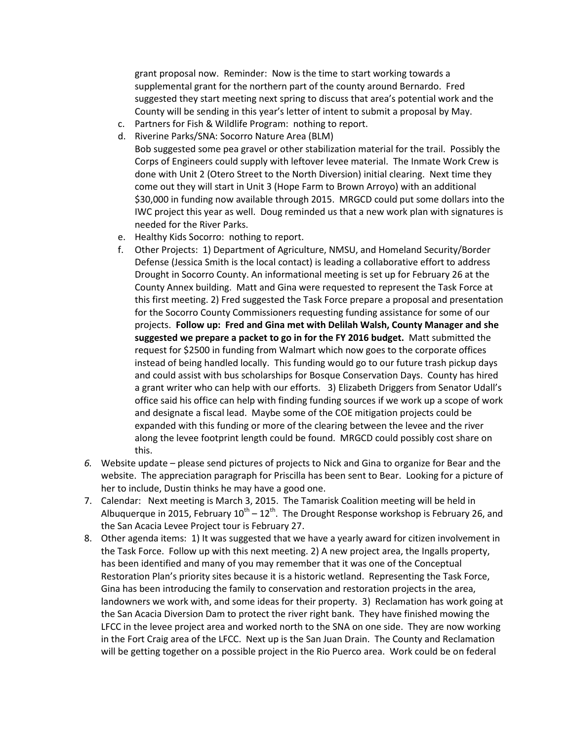grant proposal now. Reminder: Now is the time to start working towards a supplemental grant for the northern part of the county around Bernardo. Fred suggested they start meeting next spring to discuss that area's potential work and the County will be sending in this year's letter of intent to submit a proposal by May.

- c. Partners for Fish & Wildlife Program: nothing to report.
- d. Riverine Parks/SNA: Socorro Nature Area (BLM)
	- Bob suggested some pea gravel or other stabilization material for the trail. Possibly the Corps of Engineers could supply with leftover levee material. The Inmate Work Crew is done with Unit 2 (Otero Street to the North Diversion) initial clearing. Next time they come out they will start in Unit 3 (Hope Farm to Brown Arroyo) with an additional \$30,000 in funding now available through 2015. MRGCD could put some dollars into the IWC project this year as well. Doug reminded us that a new work plan with signatures is needed for the River Parks.
- e. Healthy Kids Socorro: nothing to report.
- f. Other Projects: 1) Department of Agriculture, NMSU, and Homeland Security/Border Defense (Jessica Smith is the local contact) is leading a collaborative effort to address Drought in Socorro County. An informational meeting is set up for February 26 at the County Annex building. Matt and Gina were requested to represent the Task Force at this first meeting. 2) Fred suggested the Task Force prepare a proposal and presentation for the Socorro County Commissioners requesting funding assistance for some of our projects. **Follow up: Fred and Gina met with Delilah Walsh, County Manager and she suggested we prepare a packet to go in for the FY 2016 budget.** Matt submitted the request for \$2500 in funding from Walmart which now goes to the corporate offices instead of being handled locally. This funding would go to our future trash pickup days and could assist with bus scholarships for Bosque Conservation Days. County has hired a grant writer who can help with our efforts. 3) Elizabeth Driggers from Senator Udall's office said his office can help with finding funding sources if we work up a scope of work and designate a fiscal lead. Maybe some of the COE mitigation projects could be expanded with this funding or more of the clearing between the levee and the river along the levee footprint length could be found. MRGCD could possibly cost share on this.
- *6.* Website update please send pictures of projects to Nick and Gina to organize for Bear and the website. The appreciation paragraph for Priscilla has been sent to Bear. Looking for a picture of her to include, Dustin thinks he may have a good one.
- 7. Calendar: Next meeting is March 3, 2015. The Tamarisk Coalition meeting will be held in Albuquerque in 2015, February  $10^{th} - 12^{th}$ . The Drought Response workshop is February 26, and the San Acacia Levee Project tour is February 27.
- 8. Other agenda items: 1) It was suggested that we have a yearly award for citizen involvement in the Task Force. Follow up with this next meeting. 2) A new project area, the Ingalls property, has been identified and many of you may remember that it was one of the Conceptual Restoration Plan's priority sites because it is a historic wetland. Representing the Task Force, Gina has been introducing the family to conservation and restoration projects in the area, landowners we work with, and some ideas for their property. 3) Reclamation has work going at the San Acacia Diversion Dam to protect the river right bank. They have finished mowing the LFCC in the levee project area and worked north to the SNA on one side. They are now working in the Fort Craig area of the LFCC. Next up is the San Juan Drain. The County and Reclamation will be getting together on a possible project in the Rio Puerco area. Work could be on federal